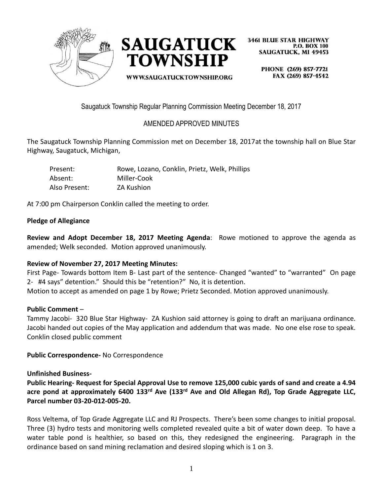



WWW.SAUGATUCKTOWNSHIP.ORG

**3461 BLUE STAR HIGHWAY P.O. BOX 100 SAUGATUCK. MI 49453** 

> PHONE (269) 857-7721 FAX (269) 857-4542

Saugatuck Township Regular Planning Commission Meeting December 18, 2017

# AMENDED APPROVED MINUTES

The Saugatuck Township Planning Commission met on December 18, 2017at the township hall on Blue Star Highway, Saugatuck, Michigan,

| Present:      | Rowe, Lozano, Conklin, Prietz, Welk, Phillips |
|---------------|-----------------------------------------------|
| Absent:       | Miller-Cook                                   |
| Also Present: | ZA Kushion                                    |

At 7:00 pm Chairperson Conklin called the meeting to order.

### **Pledge of Allegiance**

**Review and Adopt December 18, 2017 Meeting Agenda**: Rowe motioned to approve the agenda as amended; Welk seconded. Motion approved unanimously.

### **Review of November 27, 2017 Meeting Minutes:**

First Page- Towards bottom Item B- Last part of the sentence- Changed "wanted" to "warranted" On page 2- #4 says" detention." Should this be "retention?" No, it is detention.

Motion to accept as amended on page 1 by Rowe; Prietz Seconded. Motion approved unanimously.

#### **Public Comment** –

Tammy Jacobi- 320 Blue Star Highway- ZA Kushion said attorney is going to draft an marijuana ordinance. Jacobi handed out copies of the May application and addendum that was made. No one else rose to speak. Conklin closed public comment

**Public Correspondence-** No Correspondence

**Unfinished Business-**

**Public Hearing- Request for Special Approval Use to remove 125,000 cubic yards of sand and create a 4.94 acre pond at approximately 6400 133rd Ave (133rd Ave and Old Allegan Rd), Top Grade Aggregate LLC, Parcel number 03-20-012-005-20.**

Ross Veltema, of Top Grade Aggregate LLC and RJ Prospects. There's been some changes to initial proposal. Three (3) hydro tests and monitoring wells completed revealed quite a bit of water down deep. To have a water table pond is healthier, so based on this, they redesigned the engineering. Paragraph in the ordinance based on sand mining reclamation and desired sloping which is 1 on 3.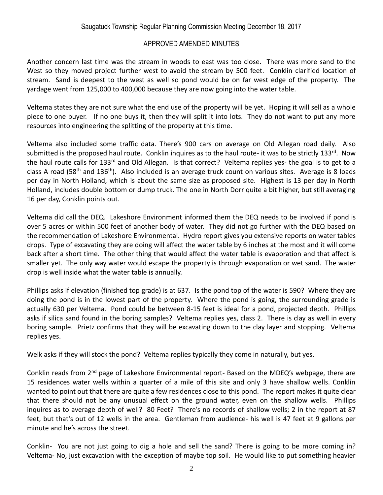Another concern last time was the stream in woods to east was too close. There was more sand to the West so they moved project further west to avoid the stream by 500 feet. Conklin clarified location of stream. Sand is deepest to the west as well so pond would be on far west edge of the property. The yardage went from 125,000 to 400,000 because they are now going into the water table.

Veltema states they are not sure what the end use of the property will be yet. Hoping it will sell as a whole piece to one buyer. If no one buys it, then they will split it into lots. They do not want to put any more resources into engineering the splitting of the property at this time.

Veltema also included some traffic data. There's 900 cars on average on Old Allegan road daily. Also submitted is the proposed haul route. Conklin inquires as to the haul route- it was to be strictly 133rd. Now the haul route calls for 133<sup>rd</sup> and Old Allegan. Is that correct? Veltema replies yes- the goal is to get to a class A road (58<sup>th</sup> and 136<sup>th</sup>). Also included is an average truck count on various sites. Average is 8 loads per day in North Holland, which is about the same size as proposed site. Highest is 13 per day in North Holland, includes double bottom or dump truck. The one in North Dorr quite a bit higher, but still averaging 16 per day, Conklin points out.

Veltema did call the DEQ. Lakeshore Environment informed them the DEQ needs to be involved if pond is over 5 acres or within 500 feet of another body of water. They did not go further with the DEQ based on the recommendation of Lakeshore Environmental. Hydro report gives you extensive reports on water tables drops. Type of excavating they are doing will affect the water table by 6 inches at the most and it will come back after a short time. The other thing that would affect the water table is evaporation and that affect is smaller yet. The only way water would escape the property is through evaporation or wet sand. The water drop is well inside what the water table is annually.

Phillips asks if elevation (finished top grade) is at 637. Is the pond top of the water is 590? Where they are doing the pond is in the lowest part of the property. Where the pond is going, the surrounding grade is actually 630 per Veltema. Pond could be between 8-15 feet is ideal for a pond, projected depth. Phillips asks if silica sand found in the boring samples? Veltema replies yes, class 2. There is clay as well in every boring sample. Prietz confirms that they will be excavating down to the clay layer and stopping. Veltema replies yes.

Welk asks if they will stock the pond? Veltema replies typically they come in naturally, but yes.

Conklin reads from 2<sup>nd</sup> page of Lakeshore Environmental report- Based on the MDEQ's webpage, there are 15 residences water wells within a quarter of a mile of this site and only 3 have shallow wells. Conklin wanted to point out that there are quite a few residences close to this pond. The report makes it quite clear that there should not be any unusual effect on the ground water, even on the shallow wells. Phillips inquires as to average depth of well? 80 Feet? There's no records of shallow wells; 2 in the report at 87 feet, but that's out of 12 wells in the area. Gentleman from audience- his well is 47 feet at 9 gallons per minute and he's across the street.

Conklin- You are not just going to dig a hole and sell the sand? There is going to be more coming in? Veltema- No, just excavation with the exception of maybe top soil. He would like to put something heavier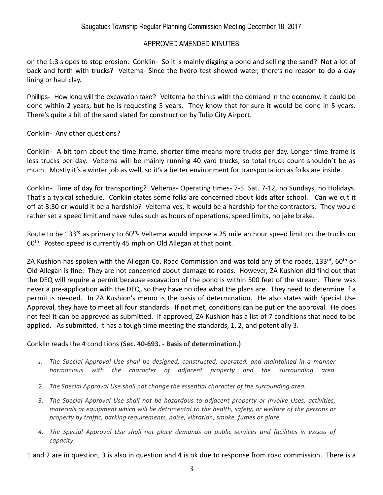on the 1:3 slopes to stop erosion. Conklin- So it is mainly digging a pond and selling the sand? Not a lot of back and forth with trucks? Veltema- Since the hydro test showed water, there's no reason to do a clay lining or haul clay.

Phillips- How long will the excavation take? Veltema he thinks with the demand in the economy, it could be done within 2 years, but he is requesting 5 years. They know that for sure it would be done in 5 years. There's quite a bit of the sand slated for construction by Tulip City Airport.

Conklin- Any other questions?

Conklin- A bit torn about the time frame, shorter time means more trucks per day. Longer time frame is less trucks per day. Veltema will be mainly running 40 yard trucks, so total truck count shouldn't be as much. Mostly it's a winter job as well, so it's a better environment for transportation as folks are inside.

Conklin- Time of day for transporting? Veltema- Operating times- 7-5 Sat. 7-12, no Sundays, no Holidays. That's a typical schedule. Conklin states some folks are concerned about kids after school. Can we cut it off at 3:30 or would it be a hardship? Veltema yes, it would be a hardship for the contractors. They would rather set a speed limit and have rules such as hours of operations, speed limits, no jake brake.

Route to be 133<sup>rd</sup> as primary to 60<sup>th</sup>- Veltema would impose a 25 mile an hour speed limit on the trucks on 60<sup>th</sup>. Posted speed is currently 45 mph on Old Allegan at that point.

ZA Kushion has spoken with the Allegan Co. Road Commission and was told any of the roads, 133<sup>rd</sup>, 60<sup>th</sup> or Old Allegan is fine. They are not concerned about damage to roads. However, ZA Kushion did find out that the DEQ will require a permit because excavation of the pond is within 500 feet of the stream. There was never a pre-application with the DEQ, so they have no idea what the plans are. They need to determine if a permit is needed. In ZA Kushion's memo is the basis of determination. He also states with Special Use Approval, they have to meet all four standards. If not met, conditions can be put on the approval. He does not feel it can be approved as submitted. If approved, ZA Kushion has a list of 7 conditions that need to be applied. As submitted, it has a tough time meeting the standards, 1, 2, and potentially 3.

### Conklin reads the 4 conditions (**Sec. 40-693. - Basis of determination.)**

- *1. The Special Approval Use shall be designed, constructed, operated, and maintained in a manner harmonious with the character of adjacent property and the surrounding area.*
- *2. The Special Approval Use shall not change the essential character of the surrounding area.*
- *3. The Special Approval Use shall not be hazardous to adjacent property or involve Uses, activities, materials or equipment which will be detrimental to the health, safety, or welfare of the persons or property by traffic, parking requirements, noise, vibration, smoke, fumes or glare.*
- *4. The Special Approval Use shall not place demands on public services and facilities in excess of capacity.*

1 and 2 are in question, 3 is also in question and 4 is ok due to response from road commission. There is a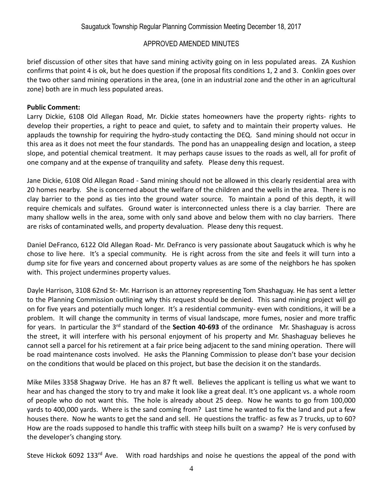brief discussion of other sites that have sand mining activity going on in less populated areas. ZA Kushion confirms that point 4 is ok, but he does question if the proposal fits conditions 1, 2 and 3. Conklin goes over the two other sand mining operations in the area, (one in an industrial zone and the other in an agricultural zone) both are in much less populated areas.

#### **Public Comment:**

Larry Dickie, 6108 Old Allegan Road, Mr. Dickie states homeowners have the property rights- rights to develop their properties, a right to peace and quiet, to safety and to maintain their property values. He applauds the township for requiring the hydro-study contacting the DEQ. Sand mining should not occur in this area as it does not meet the four standards. The pond has an unappealing design and location, a steep slope, and potential chemical treatment. It may perhaps cause issues to the roads as well, all for profit of one company and at the expense of tranquility and safety. Please deny this request.

Jane Dickie, 6108 Old Allegan Road - Sand mining should not be allowed in this clearly residential area with 20 homes nearby. She is concerned about the welfare of the children and the wells in the area. There is no clay barrier to the pond as ties into the ground water source. To maintain a pond of this depth, it will require chemicals and sulfates. Ground water is interconnected unless there is a clay barrier. There are many shallow wells in the area, some with only sand above and below them with no clay barriers. There are risks of contaminated wells, and property devaluation. Please deny this request.

Daniel DeFranco, 6122 Old Allegan Road- Mr. DeFranco is very passionate about Saugatuck which is why he chose to live here. It's a special community. He is right across from the site and feels it will turn into a dump site for five years and concerned about property values as are some of the neighbors he has spoken with. This project undermines property values.

Dayle Harrison, 3108 62nd St- Mr. Harrison is an attorney representing Tom Shashaguay. He has sent a letter to the Planning Commission outlining why this request should be denied. This sand mining project will go on for five years and potentially much longer. It's a residential community- even with conditions, it will be a problem. It will change the community in terms of visual landscape, more fumes, nosier and more traffic for years. In particular the 3rd standard of the **Section 40-693** of the ordinance Mr. Shashaguay is across the street, it will interfere with his personal enjoyment of his property and Mr. Shashaguay believes he cannot sell a parcel for his retirement at a fair price being adjacent to the sand mining operation. There will be road maintenance costs involved. He asks the Planning Commission to please don't base your decision on the conditions that would be placed on this project, but base the decision it on the standards.

Mike Miles 3358 Shagway Drive. He has an 87 ft well. Believes the applicant is telling us what we want to hear and has changed the story to try and make it look like a great deal. It's one applicant vs. a whole room of people who do not want this. The hole is already about 25 deep. Now he wants to go from 100,000 yards to 400,000 yards. Where is the sand coming from? Last time he wanted to fix the land and put a few houses there. Now he wants to get the sand and sell. He questions the traffic- as few as 7 trucks, up to 60? How are the roads supposed to handle this traffic with steep hills built on a swamp? He is very confused by the developer's changing story.

Steve Hickok 6092 133rd Ave. With road hardships and noise he questions the appeal of the pond with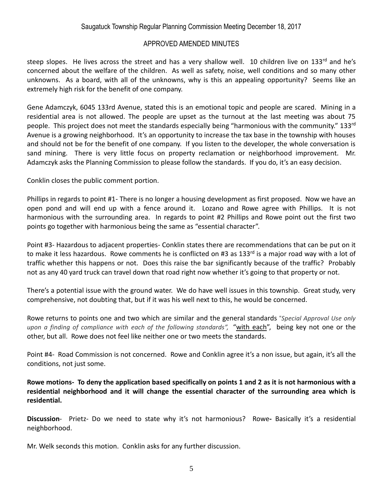steep slopes. He lives across the street and has a very shallow well. 10 children live on 133rd and he's concerned about the welfare of the children. As well as safety, noise, well conditions and so many other unknowns. As a board, with all of the unknowns, why is this an appealing opportunity? Seems like an extremely high risk for the benefit of one company.

Gene Adamczyk, 6045 133rd Avenue, stated this is an emotional topic and people are scared. Mining in a residential area is not allowed. The people are upset as the turnout at the last meeting was about 75 people. This project does not meet the standards especially being "harmonious with the community." 133rd Avenue is a growing neighborhood. It's an opportunity to increase the tax base in the township with houses and should not be for the benefit of one company. If you listen to the developer, the whole conversation is sand mining. There is very little focus on property reclamation or neighborhood improvement. Mr. Adamczyk asks the Planning Commission to please follow the standards. If you do, it's an easy decision.

Conklin closes the public comment portion.

Phillips in regards to point #1- There is no longer a housing development as first proposed. Now we have an open pond and will end up with a fence around it. Lozano and Rowe agree with Phillips. It is not harmonious with the surrounding area. In regards to point #2 Phillips and Rowe point out the first two points go together with harmonious being the same as "essential character".

Point #3- Hazardous to adjacent properties- Conklin states there are recommendations that can be put on it to make it less hazardous. Rowe comments he is conflicted on #3 as 133<sup>rd</sup> is a major road way with a lot of traffic whether this happens or not. Does this raise the bar significantly because of the traffic? Probably not as any 40 yard truck can travel down that road right now whether it's going to that property or not.

There's a potential issue with the ground water. We do have well issues in this township. Great study, very comprehensive, not doubting that, but if it was his well next to this, he would be concerned.

Rowe returns to points one and two which are similar and the general standards "*Special Approval Use only upon a finding of compliance with each of the following standards",* "with each", being key not one or the other, but all. Rowe does not feel like neither one or two meets the standards.

Point #4- Road Commission is not concerned. Rowe and Conklin agree it's a non issue, but again, it's all the conditions, not just some.

**Rowe motions- To deny the application based specifically on points 1 and 2 as it is not harmonious with a residential neighborhood and it will change the essential character of the surrounding area which is residential.**

**Discussion**- Prietz- Do we need to state why it's not harmonious? Rowe**-** Basically it's a residential neighborhood.

Mr. Welk seconds this motion. Conklin asks for any further discussion.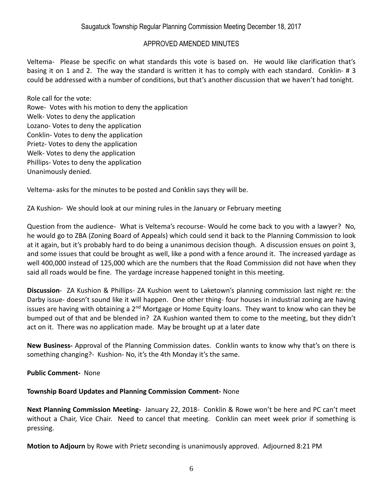Veltema- Please be specific on what standards this vote is based on. He would like clarification that's basing it on 1 and 2. The way the standard is written it has to comply with each standard. Conklin- # 3 could be addressed with a number of conditions, but that's another discussion that we haven't had tonight.

Role call for the vote: Rowe- Votes with his motion to deny the application Welk- Votes to deny the application Lozano- Votes to deny the application Conklin- Votes to deny the application Prietz- Votes to deny the application Welk- Votes to deny the application Phillips- Votes to deny the application Unanimously denied.

Veltema- asks for the minutes to be posted and Conklin says they will be.

ZA Kushion- We should look at our mining rules in the January or February meeting

Question from the audience- What is Veltema's recourse- Would he come back to you with a lawyer? No, he would go to ZBA (Zoning Board of Appeals) which could send it back to the Planning Commission to look at it again, but it's probably hard to do being a unanimous decision though. A discussion ensues on point 3, and some issues that could be brought as well, like a pond with a fence around it. The increased yardage as well 400,000 instead of 125,000 which are the numbers that the Road Commission did not have when they said all roads would be fine. The yardage increase happened tonight in this meeting.

**Discussion**- ZA Kushion & Phillips- ZA Kushion went to Laketown's planning commission last night re: the Darby issue- doesn't sound like it will happen. One other thing- four houses in industrial zoning are having issues are having with obtaining a 2<sup>nd</sup> Mortgage or Home Equity loans. They want to know who can they be bumped out of that and be blended in? ZA Kushion wanted them to come to the meeting, but they didn't act on it. There was no application made. May be brought up at a later date

**New Business-** Approval of the Planning Commission dates. Conklin wants to know why that's on there is something changing?- Kushion- No, it's the 4th Monday it's the same.

**Public Comment-** None

**Township Board Updates and Planning Commission Comment-** None

**Next Planning Commission Meeting-** January 22, 2018- Conklin & Rowe won't be here and PC can't meet without a Chair, Vice Chair. Need to cancel that meeting. Conklin can meet week prior if something is pressing.

**Motion to Adjourn** by Rowe with Prietz seconding is unanimously approved. Adjourned 8:21 PM